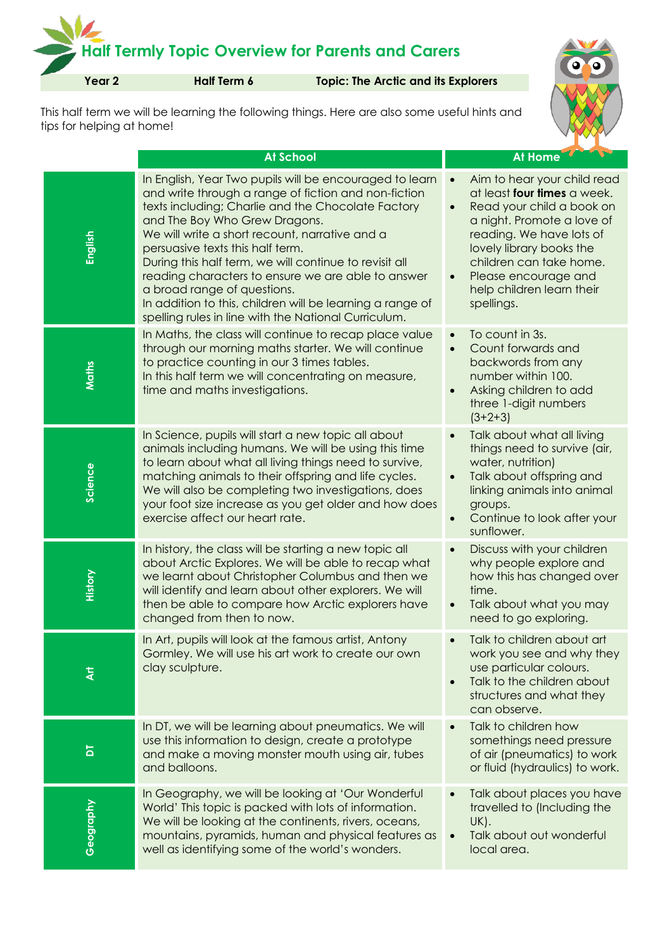## **Half Termly Topic Overview for Parents and Carers Year 2 Half Term 6 Topic: The Arctic and its Explorers**

This half term we will be learning the following things. Here are also some useful hints and tips for helping at home!

|           | <b>At School</b>                                                                                                                                                                                                                                                                                                                                                                                                                                                                                                                                                 | At Home                                                                                                                                                                                                                                                                                                            |
|-----------|------------------------------------------------------------------------------------------------------------------------------------------------------------------------------------------------------------------------------------------------------------------------------------------------------------------------------------------------------------------------------------------------------------------------------------------------------------------------------------------------------------------------------------------------------------------|--------------------------------------------------------------------------------------------------------------------------------------------------------------------------------------------------------------------------------------------------------------------------------------------------------------------|
| English   | In English, Year Two pupils will be encouraged to learn<br>and write through a range of fiction and non-fiction<br>texts including; Charlie and the Chocolate Factory<br>and The Boy Who Grew Dragons.<br>We will write a short recount, narrative and a<br>persuasive texts this half term.<br>During this half term, we will continue to revisit all<br>reading characters to ensure we are able to answer<br>a broad range of questions.<br>In addition to this, children will be learning a range of<br>spelling rules in line with the National Curriculum. | Aim to hear your child read<br>$\bullet$<br>at least four times a week.<br>Read your child a book on<br>$\bullet$<br>a night. Promote a love of<br>reading. We have lots of<br>lovely library books the<br>children can take home.<br>Please encourage and<br>$\bullet$<br>help children learn their<br>spellings. |
| Maths     | In Maths, the class will continue to recap place value<br>through our morning maths starter. We will continue<br>to practice counting in our 3 times tables.<br>In this half term we will concentrating on measure,<br>time and maths investigations.                                                                                                                                                                                                                                                                                                            | To count in 3s.<br>$\bullet$<br>Count forwards and<br>$\bullet$<br>backwords from any<br>number within 100.<br>Asking children to add<br>$\bullet$<br>three 1-digit numbers<br>$(3+2+3)$                                                                                                                           |
| Science   | In Science, pupils will start a new topic all about<br>animals including humans. We will be using this time<br>to learn about what all living things need to survive,<br>matching animals to their offspring and life cycles.<br>We will also be completing two investigations, does<br>your foot size increase as you get older and how does<br>exercise affect our heart rate.                                                                                                                                                                                 | Talk about what all living<br>$\bullet$<br>things need to survive (air,<br>water, nutrition)<br>Talk about offspring and<br>$\bullet$<br>linking animals into animal<br>groups.<br>Continue to look after your<br>$\bullet$<br>sunflower.                                                                          |
| History   | In history, the class will be starting a new topic all<br>about Arctic Explores. We will be able to recap what<br>we learnt about Christopher Columbus and then we<br>will identify and learn about other explorers. We will<br>then be able to compare how Arctic explorers have<br>changed from then to now.                                                                                                                                                                                                                                                   | Discuss with your children<br>$\bullet$<br>why people explore and<br>how this has changed over<br>time.<br>Talk about what you may<br>$\bullet$<br>need to go exploring.                                                                                                                                           |
| ই         | In Art, pupils will look at the famous artist, Antony<br>Gormley. We will use his art work to create our own<br>clay sculpture.                                                                                                                                                                                                                                                                                                                                                                                                                                  | Talk to children about art<br>work you see and why they<br>use particular colours.<br>Talk to the children about<br>$\bullet$<br>structures and what they<br>can observe.                                                                                                                                          |
| ă         | In DT, we will be learning about pneumatics. We will<br>use this information to design, create a prototype<br>and make a moving monster mouth using air, tubes<br>and balloons.                                                                                                                                                                                                                                                                                                                                                                                  | Talk to children how<br>$\bullet$<br>somethings need pressure<br>of air (pneumatics) to work<br>or fluid (hydraulics) to work.                                                                                                                                                                                     |
| Geography | In Geography, we will be looking at 'Our Wonderful<br>World' This topic is packed with lots of information.<br>We will be looking at the continents, rivers, oceans,<br>mountains, pyramids, human and physical features as<br>well as identifying some of the world's wonders.                                                                                                                                                                                                                                                                                  | Talk about places you have<br>$\bullet$<br>travelled to (Including the<br>UK).<br>Talk about out wonderful<br>$\bullet$<br>local area.                                                                                                                                                                             |